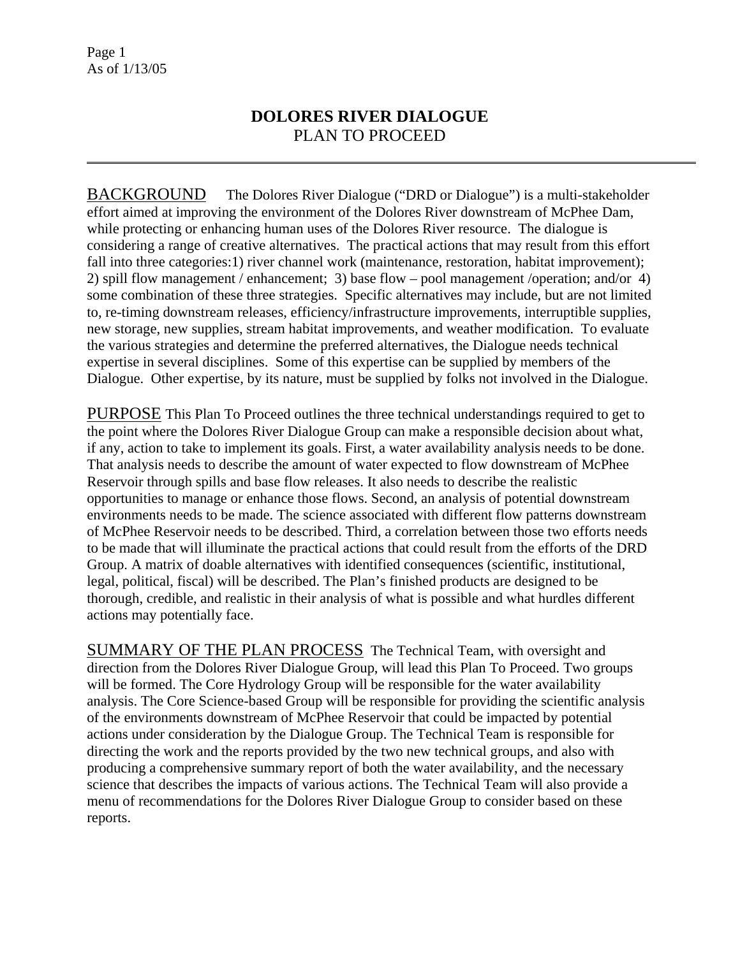## **DOLORES RIVER DIALOGUE**  PLAN TO PROCEED

BACKGROUND The Dolores River Dialogue ("DRD or Dialogue") is a multi-stakeholder effort aimed at improving the environment of the Dolores River downstream of McPhee Dam, while protecting or enhancing human uses of the Dolores River resource. The dialogue is considering a range of creative alternatives. The practical actions that may result from this effort fall into three categories:1) river channel work (maintenance, restoration, habitat improvement); 2) spill flow management / enhancement; 3) base flow – pool management /operation; and/or 4) some combination of these three strategies. Specific alternatives may include, but are not limited to, re-timing downstream releases, efficiency/infrastructure improvements, interruptible supplies, new storage, new supplies, stream habitat improvements, and weather modification. To evaluate the various strategies and determine the preferred alternatives, the Dialogue needs technical expertise in several disciplines. Some of this expertise can be supplied by members of the Dialogue. Other expertise, by its nature, must be supplied by folks not involved in the Dialogue.

PURPOSE This Plan To Proceed outlines the three technical understandings required to get to the point where the Dolores River Dialogue Group can make a responsible decision about what, if any, action to take to implement its goals. First, a water availability analysis needs to be done. That analysis needs to describe the amount of water expected to flow downstream of McPhee Reservoir through spills and base flow releases. It also needs to describe the realistic opportunities to manage or enhance those flows. Second, an analysis of potential downstream environments needs to be made. The science associated with different flow patterns downstream of McPhee Reservoir needs to be described. Third, a correlation between those two efforts needs to be made that will illuminate the practical actions that could result from the efforts of the DRD Group. A matrix of doable alternatives with identified consequences (scientific, institutional, legal, political, fiscal) will be described. The Plan's finished products are designed to be thorough, credible, and realistic in their analysis of what is possible and what hurdles different actions may potentially face.

SUMMARY OF THE PLAN PROCESS The Technical Team, with oversight and direction from the Dolores River Dialogue Group, will lead this Plan To Proceed. Two groups will be formed. The Core Hydrology Group will be responsible for the water availability analysis. The Core Science-based Group will be responsible for providing the scientific analysis of the environments downstream of McPhee Reservoir that could be impacted by potential actions under consideration by the Dialogue Group. The Technical Team is responsible for directing the work and the reports provided by the two new technical groups, and also with producing a comprehensive summary report of both the water availability, and the necessary science that describes the impacts of various actions. The Technical Team will also provide a menu of recommendations for the Dolores River Dialogue Group to consider based on these reports.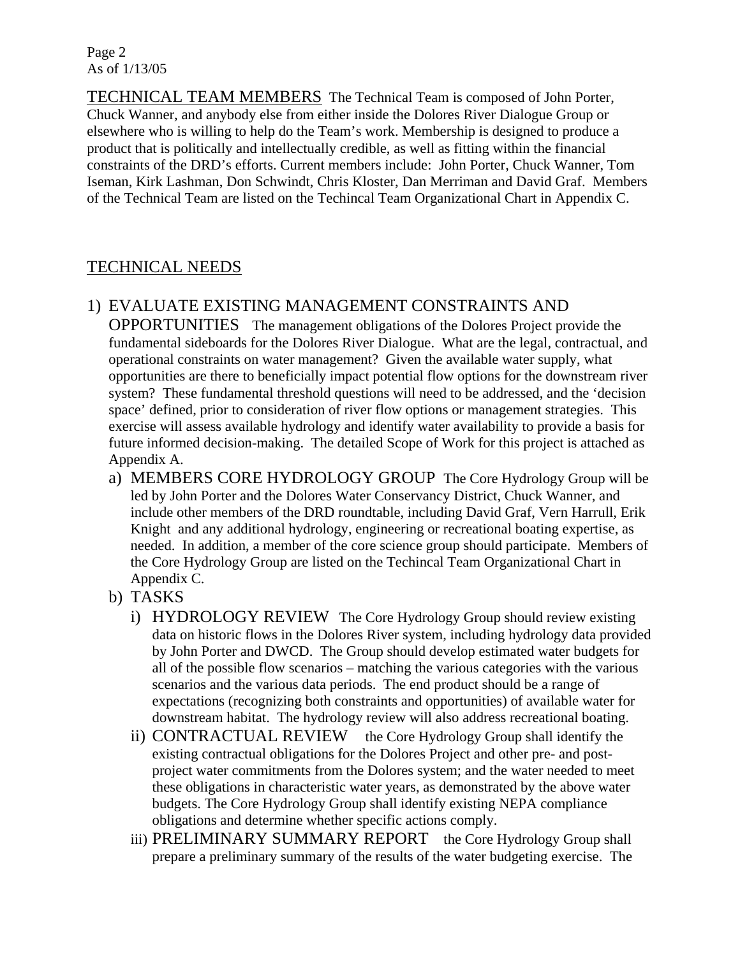Page 2 As of 1/13/05

TECHNICAL TEAM MEMBERS The Technical Team is composed of John Porter, Chuck Wanner, and anybody else from either inside the Dolores River Dialogue Group or elsewhere who is willing to help do the Team's work. Membership is designed to produce a product that is politically and intellectually credible, as well as fitting within the financial constraints of the DRD's efforts. Current members include: John Porter, Chuck Wanner, Tom Iseman, Kirk Lashman, Don Schwindt, Chris Kloster, Dan Merriman and David Graf. Members of the Technical Team are listed on the Techincal Team Organizational Chart in Appendix C.

## TECHNICAL NEEDS

#### 1) EVALUATE EXISTING MANAGEMENT CONSTRAINTS AND

OPPORTUNITIES The management obligations of the Dolores Project provide the fundamental sideboards for the Dolores River Dialogue. What are the legal, contractual, and operational constraints on water management? Given the available water supply, what opportunities are there to beneficially impact potential flow options for the downstream river system? These fundamental threshold questions will need to be addressed, and the 'decision space' defined, prior to consideration of river flow options or management strategies. This exercise will assess available hydrology and identify water availability to provide a basis for future informed decision-making. The detailed Scope of Work for this project is attached as Appendix A.

- a) MEMBERS CORE HYDROLOGY GROUP The Core Hydrology Group will be led by John Porter and the Dolores Water Conservancy District, Chuck Wanner, and include other members of the DRD roundtable, including David Graf, Vern Harrull, Erik Knight and any additional hydrology, engineering or recreational boating expertise, as needed. In addition, a member of the core science group should participate. Members of the Core Hydrology Group are listed on the Techincal Team Organizational Chart in Appendix C.
- b) TASKS
	- i) HYDROLOGY REVIEW The Core Hydrology Group should review existing data on historic flows in the Dolores River system, including hydrology data provided by John Porter and DWCD. The Group should develop estimated water budgets for all of the possible flow scenarios – matching the various categories with the various scenarios and the various data periods. The end product should be a range of expectations (recognizing both constraints and opportunities) of available water for downstream habitat. The hydrology review will also address recreational boating.
	- ii) CONTRACTUAL REVIEW the Core Hydrology Group shall identify the existing contractual obligations for the Dolores Project and other pre- and postproject water commitments from the Dolores system; and the water needed to meet these obligations in characteristic water years, as demonstrated by the above water budgets. The Core Hydrology Group shall identify existing NEPA compliance obligations and determine whether specific actions comply.
	- iii) PRELIMINARY SUMMARY REPORT the Core Hydrology Group shall prepare a preliminary summary of the results of the water budgeting exercise. The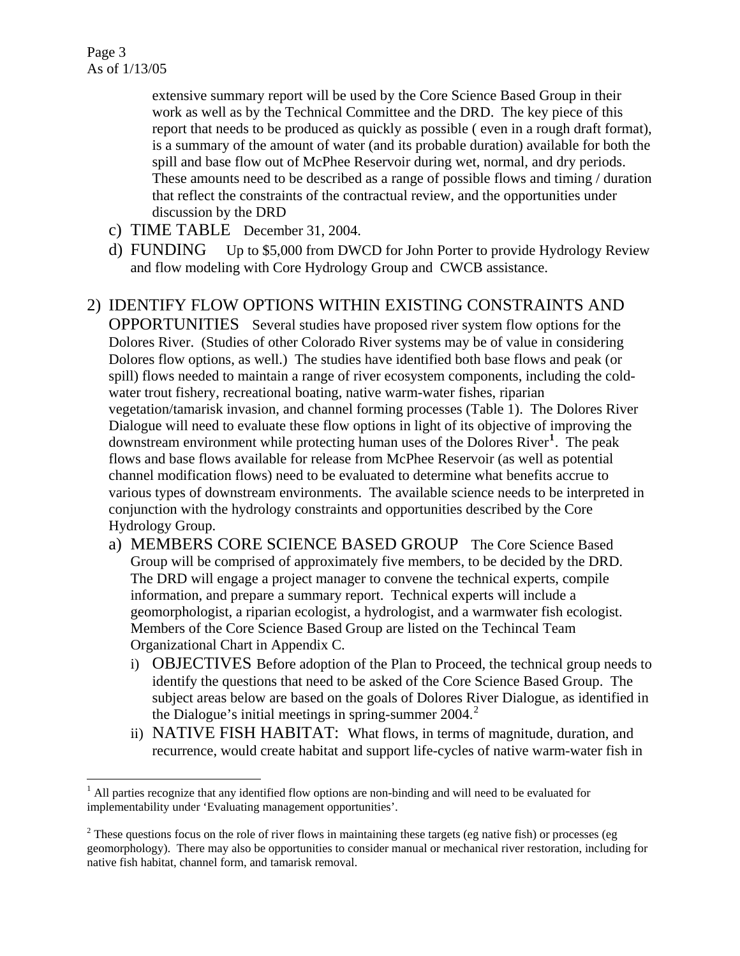extensive summary report will be used by the Core Science Based Group in their work as well as by the Technical Committee and the DRD. The key piece of this report that needs to be produced as quickly as possible ( even in a rough draft format), is a summary of the amount of water (and its probable duration) available for both the spill and base flow out of McPhee Reservoir during wet, normal, and dry periods. These amounts need to be described as a range of possible flows and timing / duration that reflect the constraints of the contractual review, and the opportunities under discussion by the DRD

- c) TIME TABLE December 31, 2004.
- d) FUNDING Up to \$5,000 from DWCD for John Porter to provide Hydrology Review and flow modeling with Core Hydrology Group and CWCB assistance.

#### 2) IDENTIFY FLOW OPTIONS WITHIN EXISTING CONSTRAINTS AND

OPPORTUNITIES Several studies have proposed river system flow options for the Dolores River. (Studies of other Colorado River systems may be of value in considering Dolores flow options, as well.) The studies have identified both base flows and peak (or spill) flows needed to maintain a range of river ecosystem components, including the coldwater trout fishery, recreational boating, native warm-water fishes, riparian vegetation/tamarisk invasion, and channel forming processes (Table 1). The Dolores River Dialogue will need to evaluate these flow options in light of its objective of improving the downstream environment while protecting human uses of the Dolores River**[1](#page-2-0)** . The peak flows and base flows available for release from McPhee Reservoir (as well as potential channel modification flows) need to be evaluated to determine what benefits accrue to various types of downstream environments. The available science needs to be interpreted in conjunction with the hydrology constraints and opportunities described by the Core Hydrology Group.

- a) MEMBERS CORE SCIENCE BASED GROUP The Core Science Based Group will be comprised of approximately five members, to be decided by the DRD. The DRD will engage a project manager to convene the technical experts, compile information, and prepare a summary report. Technical experts will include a geomorphologist, a riparian ecologist, a hydrologist, and a warmwater fish ecologist. Members of the Core Science Based Group are listed on the Techincal Team Organizational Chart in Appendix C.
	- i) OBJECTIVES Before adoption of the Plan to Proceed, the technical group needs to identify the questions that need to be asked of the Core Science Based Group. The subject areas below are based on the goals of Dolores River Dialogue, as identified in the Dialogue's initial meetings in spring-summer  $2004$  $2004$ <sup>2</sup>
	- ii) NATIVE FISH HABITAT: What flows, in terms of magnitude, duration, and recurrence, would create habitat and support life-cycles of native warm-water fish in

<span id="page-2-0"></span> $\overline{a}$ <sup>1</sup> All parties recognize that any identified flow options are non-binding and will need to be evaluated for implementability under 'Evaluating management opportunities'.

<span id="page-2-1"></span> $2^2$  These questions focus on the role of river flows in maintaining these targets (eg native fish) or processes (eg geomorphology). There may also be opportunities to consider manual or mechanical river restoration, including for native fish habitat, channel form, and tamarisk removal.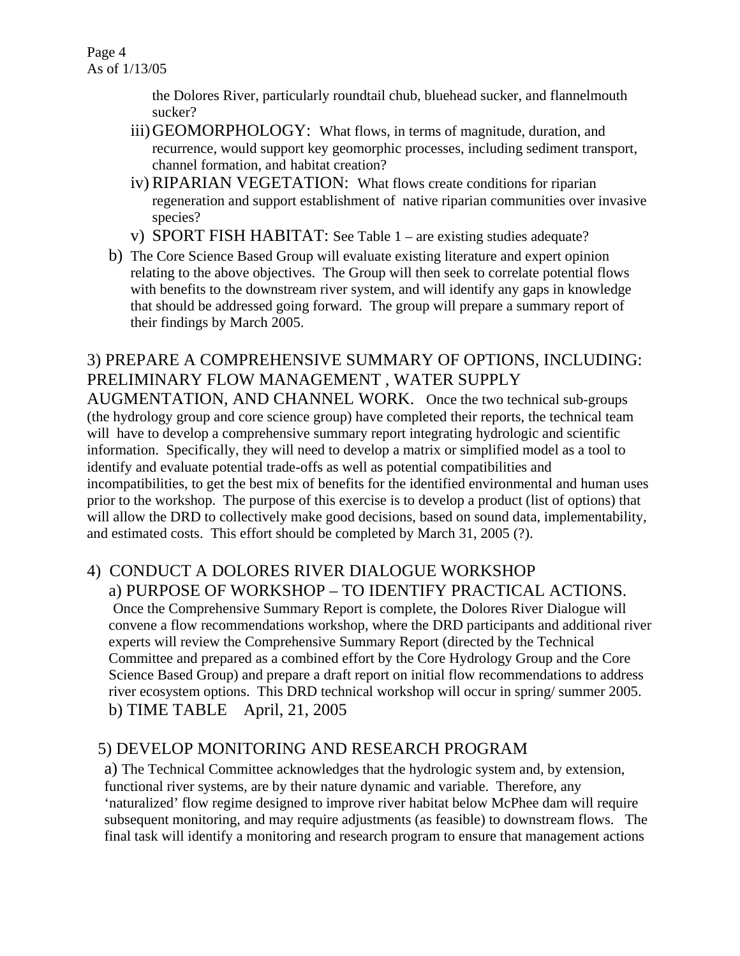Page 4 As of 1/13/05

> the Dolores River, particularly roundtail chub, bluehead sucker, and flannelmouth sucker?

- iii) GEOMORPHOLOGY: What flows, in terms of magnitude, duration, and recurrence, would support key geomorphic processes, including sediment transport, channel formation, and habitat creation?
- iv) RIPARIAN VEGETATION: What flows create conditions for riparian regeneration and support establishment of native riparian communities over invasive species?
- v) SPORT FISH HABITAT: See Table 1 are existing studies adequate?
- b) The Core Science Based Group will evaluate existing literature and expert opinion relating to the above objectives. The Group will then seek to correlate potential flows with benefits to the downstream river system, and will identify any gaps in knowledge that should be addressed going forward. The group will prepare a summary report of their findings by March 2005.

## 3) PREPARE A COMPREHENSIVE SUMMARY OF OPTIONS, INCLUDING: PRELIMINARY FLOW MANAGEMENT , WATER SUPPLY

AUGMENTATION, AND CHANNEL WORK. Once the two technical sub-groups (the hydrology group and core science group) have completed their reports, the technical team will have to develop a comprehensive summary report integrating hydrologic and scientific information. Specifically, they will need to develop a matrix or simplified model as a tool to identify and evaluate potential trade-offs as well as potential compatibilities and incompatibilities, to get the best mix of benefits for the identified environmental and human uses prior to the workshop. The purpose of this exercise is to develop a product (list of options) that will allow the DRD to collectively make good decisions, based on sound data, implementability, and estimated costs. This effort should be completed by March 31, 2005 (?).

## 4) CONDUCT A DOLORES RIVER DIALOGUE WORKSHOP a) PURPOSE OF WORKSHOP – TO IDENTIFY PRACTICAL ACTIONS.

Once the Comprehensive Summary Report is complete, the Dolores River Dialogue will convene a flow recommendations workshop, where the DRD participants and additional river experts will review the Comprehensive Summary Report (directed by the Technical Committee and prepared as a combined effort by the Core Hydrology Group and the Core Science Based Group) and prepare a draft report on initial flow recommendations to address river ecosystem options. This DRD technical workshop will occur in spring/ summer 2005. b) TIME TABLE April, 21, 2005

# 5) DEVELOP MONITORING AND RESEARCH PROGRAM

a) The Technical Committee acknowledges that the hydrologic system and, by extension, functional river systems, are by their nature dynamic and variable. Therefore, any 'naturalized' flow regime designed to improve river habitat below McPhee dam will require subsequent monitoring, and may require adjustments (as feasible) to downstream flows. The final task will identify a monitoring and research program to ensure that management actions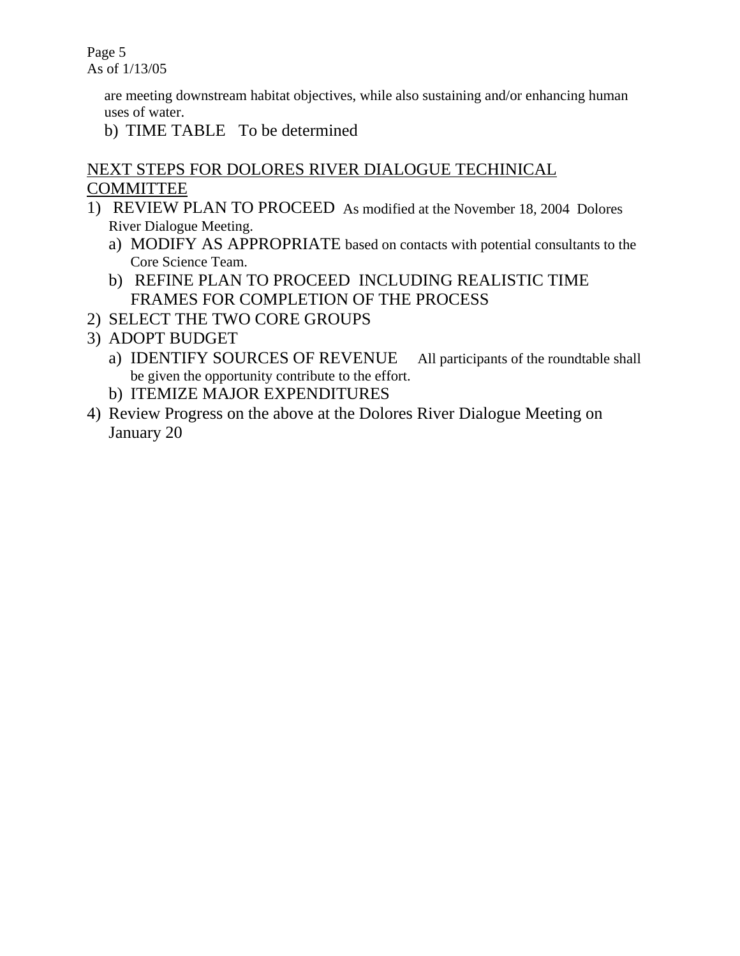Page 5 As of 1/13/05

> are meeting downstream habitat objectives, while also sustaining and/or enhancing human uses of water.

b) TIME TABLE To be determined

# NEXT STEPS FOR DOLORES RIVER DIALOGUE TECHINICAL COMMITTEE

- 1) REVIEW PLAN TO PROCEED As modified at the November 18, 2004 Dolores River Dialogue Meeting.
	- a) MODIFY AS APPROPRIATE based on contacts with potential consultants to the Core Science Team.
	- b) REFINE PLAN TO PROCEED INCLUDING REALISTIC TIME FRAMES FOR COMPLETION OF THE PROCESS
- 2) SELECT THE TWO CORE GROUPS
- 3) ADOPT BUDGET
	- a) IDENTIFY SOURCES OF REVENUE All participants of the roundtable shall be given the opportunity contribute to the effort.
	- b) ITEMIZE MAJOR EXPENDITURES
- 4) Review Progress on the above at the Dolores River Dialogue Meeting on January 20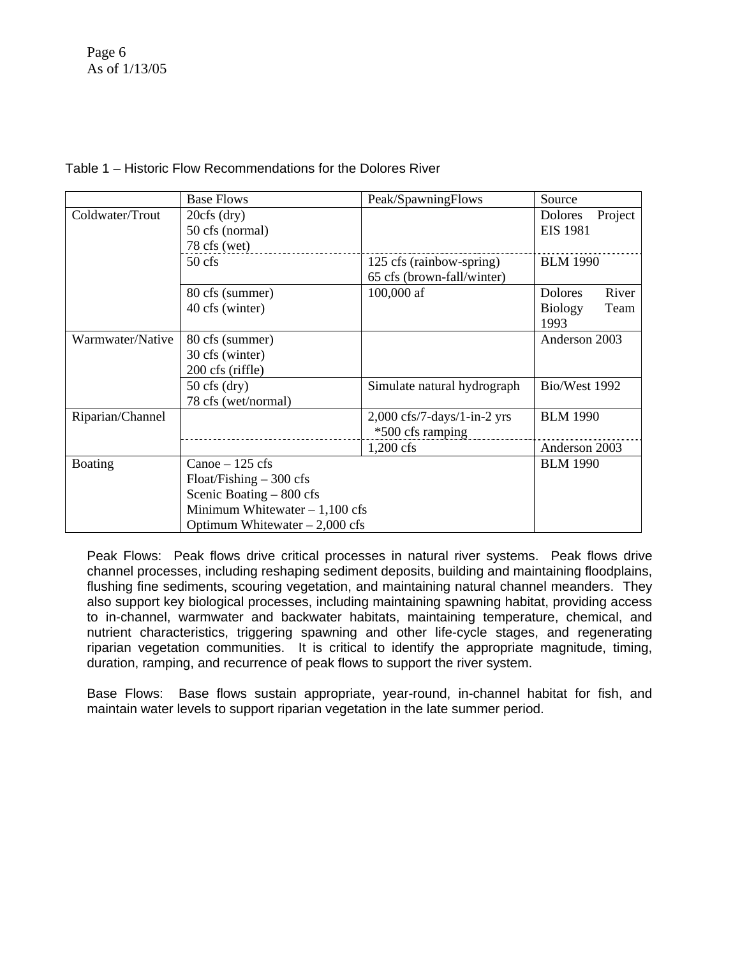|                  | <b>Base Flows</b>                                                                              | Peak/SpawningFlows                     | Source                  |
|------------------|------------------------------------------------------------------------------------------------|----------------------------------------|-------------------------|
| Coldwater/Trout  | $20cfs$ (dry)                                                                                  |                                        | Dolores<br>Project      |
|                  | 50 cfs (normal)                                                                                |                                        | <b>EIS 1981</b>         |
|                  | $78$ cfs (wet)                                                                                 |                                        |                         |
|                  | $50$ cfs                                                                                       | 125 cfs (rainbow-spring)               | <b>BLM 1990</b>         |
|                  |                                                                                                | 65 cfs (brown-fall/winter)             |                         |
|                  | 80 cfs (summer)                                                                                | 100,000 af                             | <b>Dolores</b><br>River |
|                  | 40 cfs (winter)                                                                                |                                        | <b>Biology</b><br>Team  |
|                  |                                                                                                |                                        | 1993                    |
| Warmwater/Native | 80 cfs (summer)                                                                                |                                        | Anderson 2003           |
|                  | 30 cfs (winter)                                                                                |                                        |                         |
|                  | 200 cfs (riffle)                                                                               |                                        |                         |
|                  | $50 \text{ cfs (dry)}$                                                                         | Simulate natural hydrograph            | Bio/West 1992           |
|                  | 78 cfs (wet/normal)                                                                            |                                        |                         |
| Riparian/Channel |                                                                                                | $2,000 \text{ cfs}/7$ -days/1-in-2 yrs | <b>BLM 1990</b>         |
|                  |                                                                                                | *500 cfs ramping                       |                         |
|                  |                                                                                                | $1,200$ cfs                            | Anderson 2003           |
| Boating          | Canoe $-125$ cfs                                                                               |                                        | <b>BLM 1990</b>         |
|                  | $F$ loat/Fishing $-$ 300 cfs                                                                   |                                        |                         |
|                  | Scenic Boating - 800 cfs<br>Minimum Whitewater $-1,100$ cfs<br>Optimum Whitewater $-2,000$ cfs |                                        |                         |
|                  |                                                                                                |                                        |                         |
|                  |                                                                                                |                                        |                         |

#### Table 1 – Historic Flow Recommendations for the Dolores River

Peak Flows: Peak flows drive critical processes in natural river systems. Peak flows drive channel processes, including reshaping sediment deposits, building and maintaining floodplains, flushing fine sediments, scouring vegetation, and maintaining natural channel meanders. They also support key biological processes, including maintaining spawning habitat, providing access to in-channel, warmwater and backwater habitats, maintaining temperature, chemical, and nutrient characteristics, triggering spawning and other life-cycle stages, and regenerating riparian vegetation communities. It is critical to identify the appropriate magnitude, timing, duration, ramping, and recurrence of peak flows to support the river system.

Base Flows: Base flows sustain appropriate, year-round, in-channel habitat for fish, and maintain water levels to support riparian vegetation in the late summer period.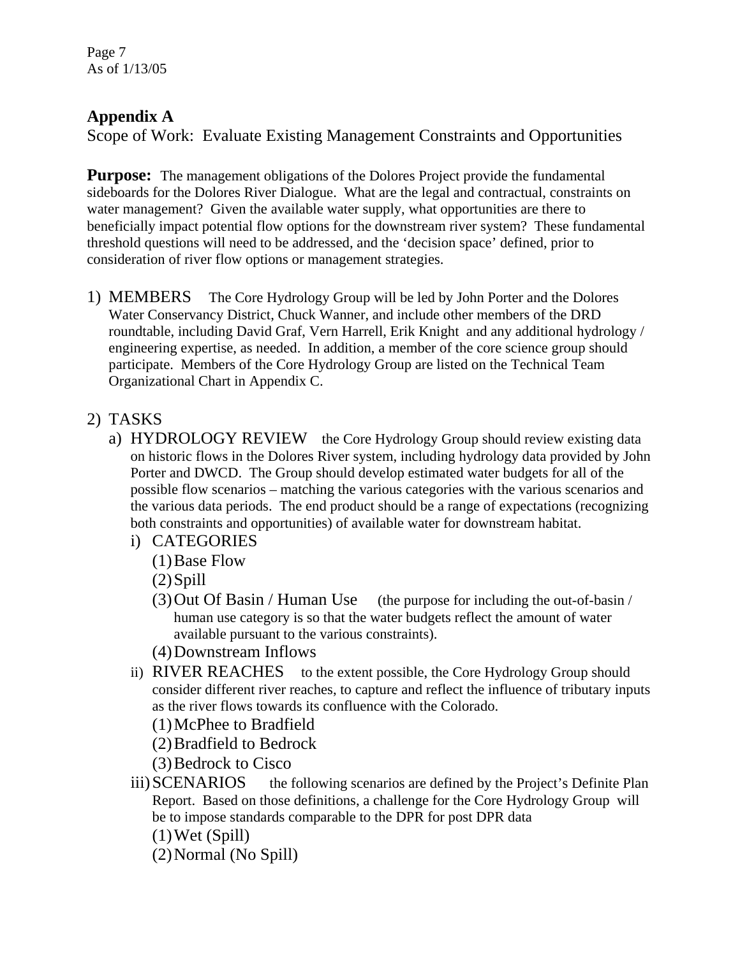Page 7 As of 1/13/05

# **Appendix A**

Scope of Work: Evaluate Existing Management Constraints and Opportunities

**Purpose:** The management obligations of the Dolores Project provide the fundamental sideboards for the Dolores River Dialogue. What are the legal and contractual, constraints on water management? Given the available water supply, what opportunities are there to beneficially impact potential flow options for the downstream river system? These fundamental threshold questions will need to be addressed, and the 'decision space' defined, prior to consideration of river flow options or management strategies.

1) MEMBERS The Core Hydrology Group will be led by John Porter and the Dolores Water Conservancy District, Chuck Wanner, and include other members of the DRD roundtable, including David Graf, Vern Harrell, Erik Knight and any additional hydrology / engineering expertise, as needed. In addition, a member of the core science group should participate. Members of the Core Hydrology Group are listed on the Technical Team Organizational Chart in Appendix C.

# 2) TASKS

- a) HYDROLOGY REVIEW the Core Hydrology Group should review existing data on historic flows in the Dolores River system, including hydrology data provided by John Porter and DWCD. The Group should develop estimated water budgets for all of the possible flow scenarios – matching the various categories with the various scenarios and the various data periods. The end product should be a range of expectations (recognizing both constraints and opportunities) of available water for downstream habitat.
	- i) CATEGORIES
		- (1)Base Flow
		- $(2)$ Spill
		- (3)Out Of Basin / Human Use (the purpose for including the out-of-basin / human use category is so that the water budgets reflect the amount of water available pursuant to the various constraints).
		- (4)Downstream Inflows
	- ii) RIVER REACHES to the extent possible, the Core Hydrology Group should consider different river reaches, to capture and reflect the influence of tributary inputs as the river flows towards its confluence with the Colorado.

(1)McPhee to Bradfield

(2)Bradfield to Bedrock

- (3)Bedrock to Cisco
- iii) SCENARIOS the following scenarios are defined by the Project's Definite Plan Report. Based on those definitions, a challenge for the Core Hydrology Group will be to impose standards comparable to the DPR for post DPR data
	- (1)Wet (Spill)

(2)Normal (No Spill)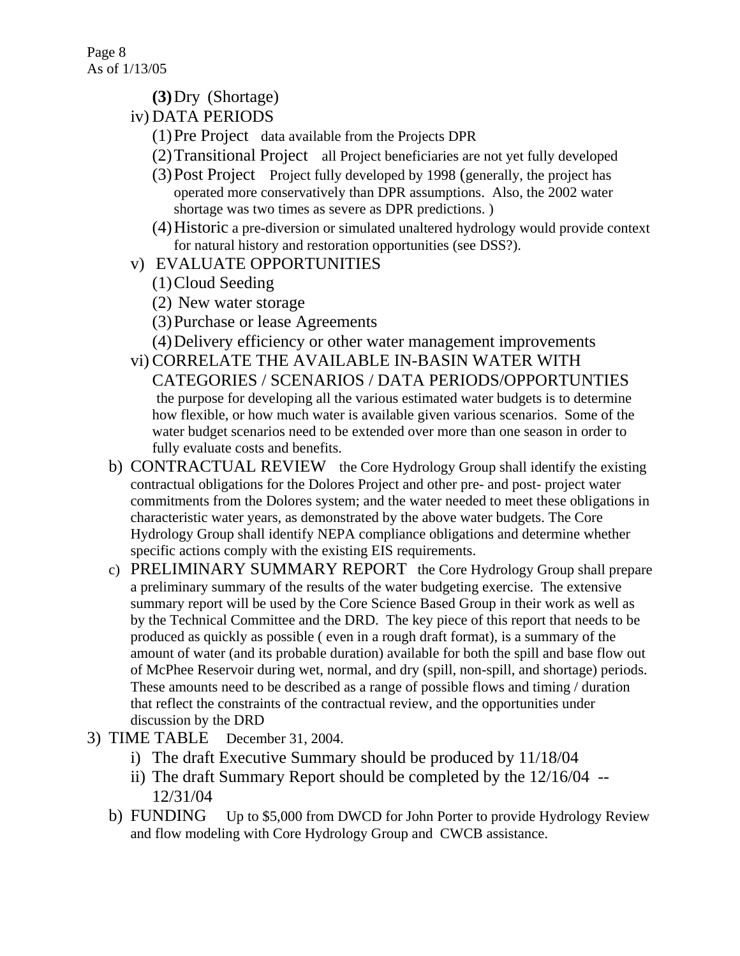- **(3)**Dry (Shortage)
- iv) DATA PERIODS
	- (1)Pre Project data available from the Projects DPR
	- (2)Transitional Project all Project beneficiaries are not yet fully developed
	- (3)Post Project Project fully developed by 1998 (generally, the project has operated more conservatively than DPR assumptions. Also, the 2002 water shortage was two times as severe as DPR predictions. )
	- (4)Historic a pre-diversion or simulated unaltered hydrology would provide context for natural history and restoration opportunities (see DSS?).
- v) EVALUATE OPPORTUNITIES
	- (1)Cloud Seeding
	- (2) New water storage
	- (3)Purchase or lease Agreements
	- (4)Delivery efficiency or other water management improvements
- vi) CORRELATE THE AVAILABLE IN-BASIN WATER WITH CATEGORIES / SCENARIOS / DATA PERIODS/OPPORTUNTIES the purpose for developing all the various estimated water budgets is to determine how flexible, or how much water is available given various scenarios. Some of the water budget scenarios need to be extended over more than one season in order to fully evaluate costs and benefits.
- b) CONTRACTUAL REVIEW the Core Hydrology Group shall identify the existing contractual obligations for the Dolores Project and other pre- and post- project water commitments from the Dolores system; and the water needed to meet these obligations in characteristic water years, as demonstrated by the above water budgets. The Core Hydrology Group shall identify NEPA compliance obligations and determine whether specific actions comply with the existing EIS requirements.
- c) PRELIMINARY SUMMARY REPORT the Core Hydrology Group shall prepare a preliminary summary of the results of the water budgeting exercise. The extensive summary report will be used by the Core Science Based Group in their work as well as by the Technical Committee and the DRD. The key piece of this report that needs to be produced as quickly as possible ( even in a rough draft format), is a summary of the amount of water (and its probable duration) available for both the spill and base flow out of McPhee Reservoir during wet, normal, and dry (spill, non-spill, and shortage) periods. These amounts need to be described as a range of possible flows and timing / duration that reflect the constraints of the contractual review, and the opportunities under discussion by the DRD
- 3) TIME TABLE December 31, 2004.
	- i) The draft Executive Summary should be produced by 11/18/04
	- ii) The draft Summary Report should be completed by the 12/16/04 -- 12/31/04
	- b) FUNDING Up to \$5,000 from DWCD for John Porter to provide Hydrology Review and flow modeling with Core Hydrology Group and CWCB assistance.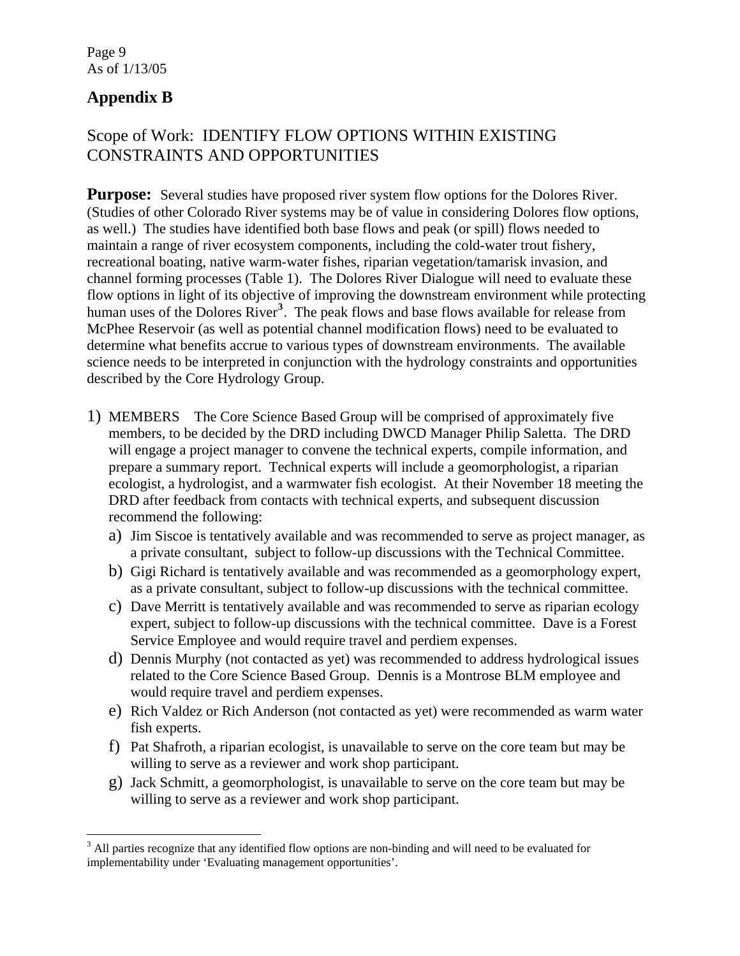# **Appendix B**

 $\overline{a}$ 

# Scope of Work: IDENTIFY FLOW OPTIONS WITHIN EXISTING CONSTRAINTS AND OPPORTUNITIES

**Purpose:** Several studies have proposed river system flow options for the Dolores River. (Studies of other Colorado River systems may be of value in considering Dolores flow options, as well.) The studies have identified both base flows and peak (or spill) flows needed to maintain a range of river ecosystem components, including the cold-water trout fishery, recreational boating, native warm-water fishes, riparian vegetation/tamarisk invasion, and channel forming processes (Table 1). The Dolores River Dialogue will need to evaluate these flow options in light of its objective of improving the downstream environment while protecting human uses of the Dolores River<sup>[3](#page-8-0)</sup>. The peak flows and base flows available for release from McPhee Reservoir (as well as potential channel modification flows) need to be evaluated to determine what benefits accrue to various types of downstream environments. The available science needs to be interpreted in conjunction with the hydrology constraints and opportunities described by the Core Hydrology Group.

- 1) MEMBERS The Core Science Based Group will be comprised of approximately five members, to be decided by the DRD including DWCD Manager Philip Saletta. The DRD will engage a project manager to convene the technical experts, compile information, and prepare a summary report. Technical experts will include a geomorphologist, a riparian ecologist, a hydrologist, and a warmwater fish ecologist. At their November 18 meeting the DRD after feedback from contacts with technical experts, and subsequent discussion recommend the following:
	- a) Jim Siscoe is tentatively available and was recommended to serve as project manager, as a private consultant, subject to follow-up discussions with the Technical Committee.
	- b) Gigi Richard is tentatively available and was recommended as a geomorphology expert, as a private consultant, subject to follow-up discussions with the technical committee.
	- c) Dave Merritt is tentatively available and was recommended to serve as riparian ecology expert, subject to follow-up discussions with the technical committee. Dave is a Forest Service Employee and would require travel and perdiem expenses.
	- d) Dennis Murphy (not contacted as yet) was recommended to address hydrological issues related to the Core Science Based Group. Dennis is a Montrose BLM employee and would require travel and perdiem expenses.
	- e) Rich Valdez or Rich Anderson (not contacted as yet) were recommended as warm water fish experts.
	- f) Pat Shafroth, a riparian ecologist, is unavailable to serve on the core team but may be willing to serve as a reviewer and work shop participant.
	- g) Jack Schmitt, a geomorphologist, is unavailable to serve on the core team but may be willing to serve as a reviewer and work shop participant.

<span id="page-8-0"></span><sup>&</sup>lt;sup>3</sup> All parties recognize that any identified flow options are non-binding and will need to be evaluated for implementability under 'Evaluating management opportunities'.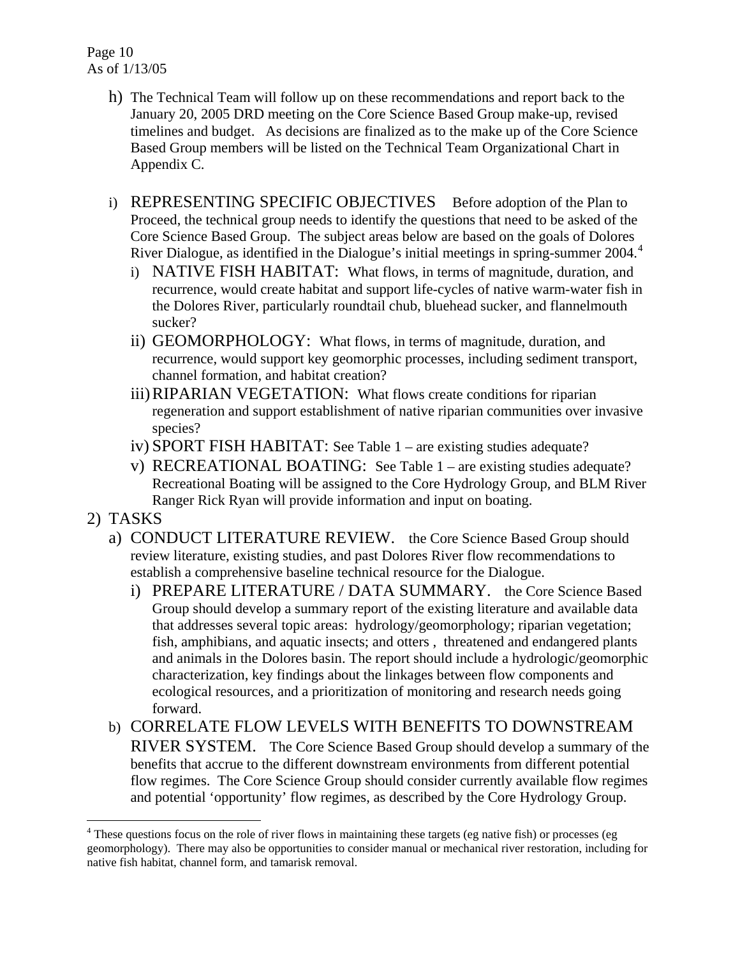- h) The Technical Team will follow up on these recommendations and report back to the January 20, 2005 DRD meeting on the Core Science Based Group make-up, revised timelines and budget. As decisions are finalized as to the make up of the Core Science Based Group members will be listed on the Technical Team Organizational Chart in Appendix C.
- i) REPRESENTING SPECIFIC OBJECTIVES Before adoption of the Plan to Proceed, the technical group needs to identify the questions that need to be asked of the Core Science Based Group. The subject areas below are based on the goals of Dolores River Dialogue, as identified in the Dialogue's initial meetings in spring-summer 200[4](#page-9-0).<sup>4</sup>
	- i) NATIVE FISH HABITAT: What flows, in terms of magnitude, duration, and recurrence, would create habitat and support life-cycles of native warm-water fish in the Dolores River, particularly roundtail chub, bluehead sucker, and flannelmouth sucker?
	- ii) GEOMORPHOLOGY: What flows, in terms of magnitude, duration, and recurrence, would support key geomorphic processes, including sediment transport, channel formation, and habitat creation?
	- iii)RIPARIAN VEGETATION: What flows create conditions for riparian regeneration and support establishment of native riparian communities over invasive species?
	- iv) SPORT FISH HABITAT: See Table 1 are existing studies adequate?
	- v) RECREATIONAL BOATING: See Table 1 are existing studies adequate? Recreational Boating will be assigned to the Core Hydrology Group, and BLM River Ranger Rick Ryan will provide information and input on boating.
- 2) TASKS

 $\overline{a}$ 

- a) CONDUCT LITERATURE REVIEW. the Core Science Based Group should review literature, existing studies, and past Dolores River flow recommendations to establish a comprehensive baseline technical resource for the Dialogue.
	- i) PREPARE LITERATURE / DATA SUMMARY. the Core Science Based Group should develop a summary report of the existing literature and available data that addresses several topic areas: hydrology/geomorphology; riparian vegetation; fish, amphibians, and aquatic insects; and otters , threatened and endangered plants and animals in the Dolores basin. The report should include a hydrologic/geomorphic characterization, key findings about the linkages between flow components and ecological resources, and a prioritization of monitoring and research needs going forward.
- b) CORRELATE FLOW LEVELS WITH BENEFITS TO DOWNSTREAM RIVER SYSTEM. The Core Science Based Group should develop a summary of the benefits that accrue to the different downstream environments from different potential flow regimes. The Core Science Group should consider currently available flow regimes and potential 'opportunity' flow regimes, as described by the Core Hydrology Group.

<span id="page-9-0"></span><sup>&</sup>lt;sup>4</sup> These questions focus on the role of river flows in maintaining these targets (eg native fish) or processes (eg geomorphology). There may also be opportunities to consider manual or mechanical river restoration, including for native fish habitat, channel form, and tamarisk removal.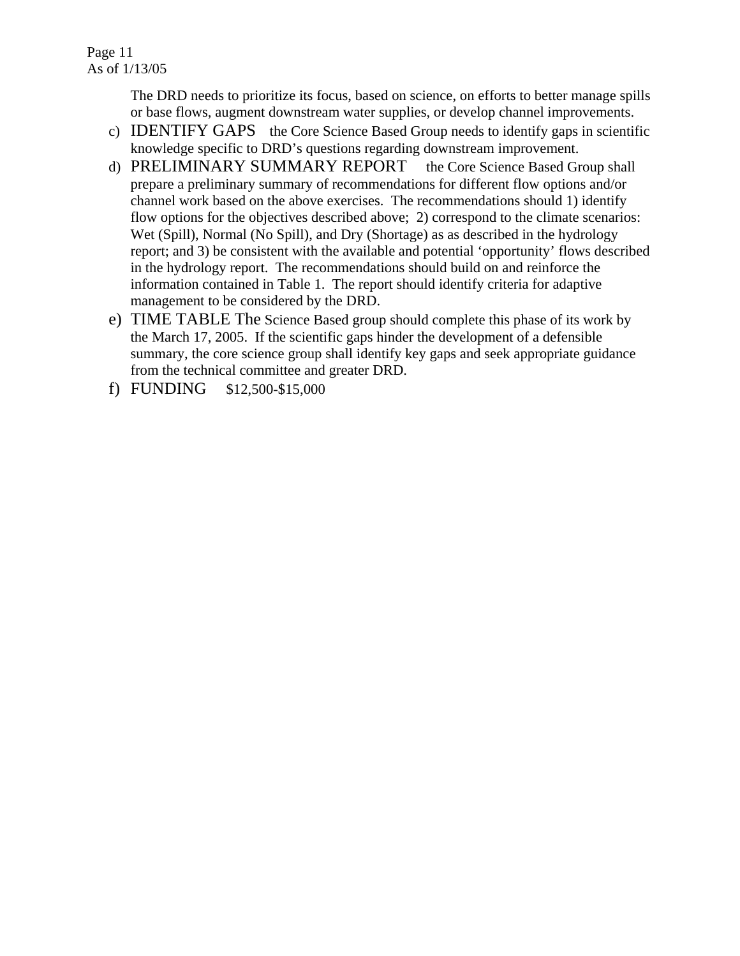The DRD needs to prioritize its focus, based on science, on efforts to better manage spills or base flows, augment downstream water supplies, or develop channel improvements.

- c) IDENTIFY GAPS the Core Science Based Group needs to identify gaps in scientific knowledge specific to DRD's questions regarding downstream improvement.
- d) PRELIMINARY SUMMARY REPORT the Core Science Based Group shall prepare a preliminary summary of recommendations for different flow options and/or channel work based on the above exercises. The recommendations should 1) identify flow options for the objectives described above; 2) correspond to the climate scenarios: Wet (Spill), Normal (No Spill), and Dry (Shortage) as as described in the hydrology report; and 3) be consistent with the available and potential 'opportunity' flows described in the hydrology report. The recommendations should build on and reinforce the information contained in Table 1. The report should identify criteria for adaptive management to be considered by the DRD.
- e) TIME TABLE The Science Based group should complete this phase of its work by the March 17, 2005. If the scientific gaps hinder the development of a defensible summary, the core science group shall identify key gaps and seek appropriate guidance from the technical committee and greater DRD.
- f) FUNDING \$12,500-\$15,000